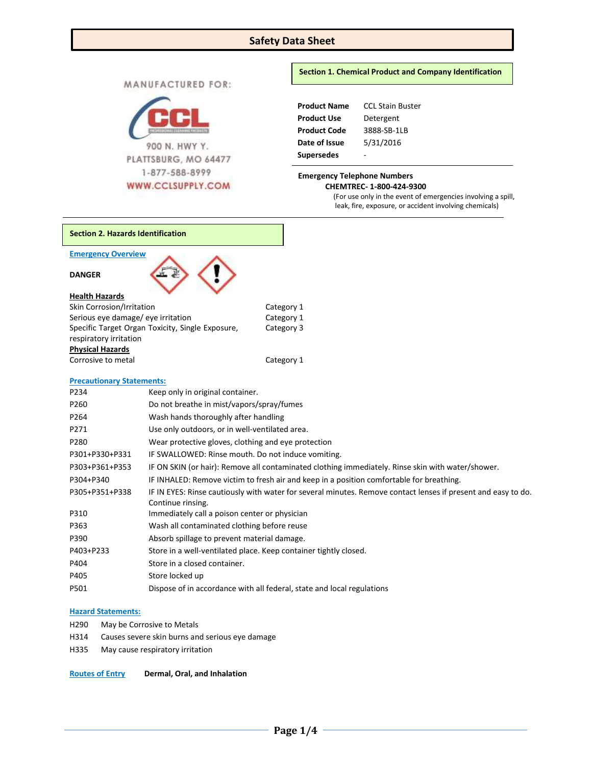# **Safety Data Sheet**

MANUFACTURED FOR:



### **Section 1. Chemical Product and Company Identification**

| <b>Product Name</b> | <b>CCL Stain Buster</b> |  |  |
|---------------------|-------------------------|--|--|
| <b>Product Use</b>  | Detergent               |  |  |
| <b>Product Code</b> | 3888-SB-1LB             |  |  |
| Date of Issue       | 5/31/2016               |  |  |
| <b>Supersedes</b>   |                         |  |  |

 **CHEMTREC- 1-800-424-9300** (For use only in the event of emergencies involving a spill, leak, fire, exposure, or accident involving chemicals)

| <b>Section 2. Hazards Identification</b>      |                                                     |                                                                                                               |
|-----------------------------------------------|-----------------------------------------------------|---------------------------------------------------------------------------------------------------------------|
| <b>Emergency Overview</b>                     |                                                     |                                                                                                               |
| <b>DANGER</b>                                 |                                                     |                                                                                                               |
| <b>Health Hazards</b>                         |                                                     |                                                                                                               |
| Skin Corrosion/Irritation                     |                                                     | Category 1                                                                                                    |
| Serious eye damage/ eye irritation            |                                                     | Category 1                                                                                                    |
|                                               | Specific Target Organ Toxicity, Single Exposure,    | Category 3                                                                                                    |
| respiratory irritation                        |                                                     |                                                                                                               |
| <b>Physical Hazards</b><br>Corrosive to metal |                                                     | Category 1                                                                                                    |
|                                               |                                                     |                                                                                                               |
| <b>Precautionary Statements:</b>              |                                                     |                                                                                                               |
| P234                                          | Keep only in original container.                    |                                                                                                               |
| P260                                          | Do not breathe in mist/vapors/spray/fumes           |                                                                                                               |
| P264                                          | Wash hands thoroughly after handling                |                                                                                                               |
| P271                                          | Use only outdoors, or in well-ventilated area.      |                                                                                                               |
| P280                                          | Wear protective gloves, clothing and eye protection |                                                                                                               |
| P301+P330+P331                                | IF SWALLOWED: Rinse mouth. Do not induce vomiting.  |                                                                                                               |
| P303+P361+P353                                |                                                     | IF ON SKIN (or hair): Remove all contaminated clothing immediately. Rinse skin with water/shower.             |
| P304+P340                                     |                                                     | IF INHALED: Remove victim to fresh air and keep in a position comfortable for breathing.                      |
| P305+P351+P338                                | Continue rinsing.                                   | IF IN EYES: Rinse cautiously with water for several minutes. Remove contact lenses if present and easy to do. |
| P310                                          | Immediately call a poison center or physician       |                                                                                                               |
| P363                                          | Wash all contaminated clothing before reuse         |                                                                                                               |
| P390                                          | Absorb spillage to prevent material damage.         |                                                                                                               |
| P403+P233                                     |                                                     | Store in a well-ventilated place. Keep container tightly closed.                                              |
| P404                                          | Store in a closed container.                        |                                                                                                               |
| P405                                          | Store locked up                                     |                                                                                                               |

P501 Dispose of in accordance with all federal, state and local regulations

# **Hazard Statements:**

- H290 May be Corrosive to Metals
- H314 Causes severe skin burns and serious eye damage
- H335 May cause respiratory irritation

**Routes of Entry Dermal, Oral, and Inhalation**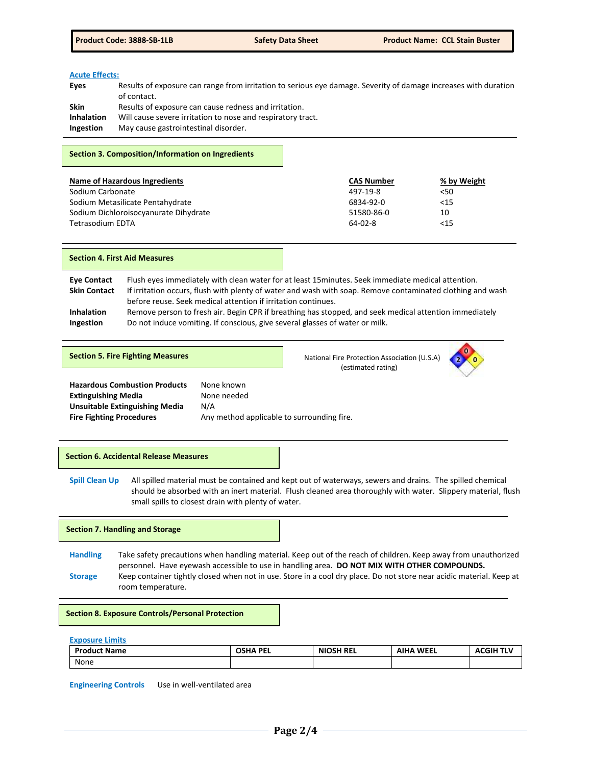#### **Acute Effects:**

| Results of exposure can range from irritation to serious eye damage. Severity of damage increases with duration |
|-----------------------------------------------------------------------------------------------------------------|
|                                                                                                                 |
|                                                                                                                 |
|                                                                                                                 |
|                                                                                                                 |
|                                                                                                                 |

#### **Section 3. Composition/Information on Ingredients**

| Name of Hazardous Ingredients         | <b>CAS Number</b> | % by Weight |
|---------------------------------------|-------------------|-------------|
| Sodium Carbonate                      | 497-19-8          | 50<         |
| Sodium Metasilicate Pentahydrate      | 6834-92-0         | <15         |
| Sodium Dichloroisocyanurate Dihydrate | 51580-86-0        | 10          |
| <b>Tetrasodium EDTA</b>               | $64-02-8$         | $<$ 15      |

#### **Section 4. First Aid Measures**

**Eye Contact** Flush eyes immediately with clean water for at least 15minutes. Seek immediate medical attention. **Skin Contact** If irritation occurs, flush with plenty of water and wash with soap. Remove contaminated clothing and wash before reuse. Seek medical attention if irritation continues. **Inhalation** Remove person to fresh air. Begin CPR if breathing has stopped, and seek medical attention immediately **Ingestion** Do not induce vomiting. If conscious, give several glasses of water or milk.

**Section 5. Fire Fighting Measures National Fire Protection Association (U.S.A) National Fire Protection Association (U.S.A)** (estimated rating)



**Hazardous Combustion Products** None known **Extinguishing Media None needed Unsuitable Extinguishing Media** N/A **Fire Fighting Procedures** Any method applicable to surrounding fire.

### **Section 6. Accidental Release Measures**

**Spill Clean Up** All spilled material must be contained and kept out of waterways, sewers and drains. The spilled chemical should be absorbed with an inert material. Flush cleaned area thoroughly with water. Slippery material, flush small spills to closest drain with plenty of water.

#### **Section 7. Handling and Storage**

**Handling** Take safety precautions when handling material. Keep out of the reach of children. Keep away from unauthorized personnel. Have eyewash accessible to use in handling area. **DO NOT MIX WITH OTHER COMPOUNDS. Storage** Keep container tightly closed when not in use. Store in a cool dry place. Do not store near acidic material. Keep at room temperature.

#### **Section 8. Exposure Controls/Personal Protection**

**Exposure Limits**

| <b>Product Name</b> | <b>OSHA PEL</b> | <b>NIOSH REL</b> | <b>AIHA WEEL</b> | ACGIH TI` |
|---------------------|-----------------|------------------|------------------|-----------|
| None                |                 |                  |                  |           |

**Engineering Controls** Use in well-ventilated area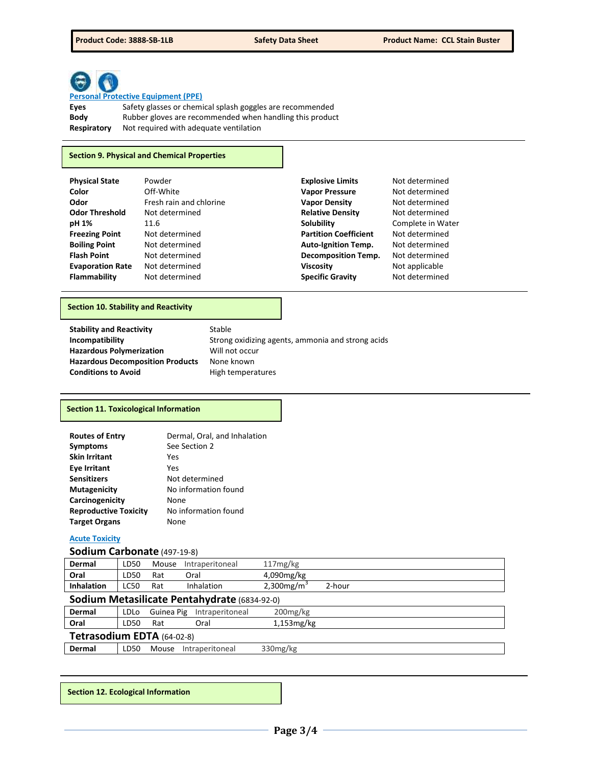

# **Personal Protective Equipment (PPE)**

**Eyes** Safety glasses or chemical splash goggles are recommended **Body** Rubber gloves are recommended when handling this product **Respiratory** Not required with adequate ventilation

# **Section 9. Physical and Chemical Properties**

| <b>Physical State</b>   | Powder                  | <b>Explosive Limits</b>      | Not determined    |
|-------------------------|-------------------------|------------------------------|-------------------|
| Color                   | Off-White               | <b>Vapor Pressure</b>        | Not determined    |
| Odor                    | Fresh rain and chlorine | <b>Vapor Density</b>         | Not determined    |
| <b>Odor Threshold</b>   | Not determined          | <b>Relative Density</b>      | Not determined    |
| pH 1%                   | 11.6                    | Solubility                   | Complete in Water |
| <b>Freezing Point</b>   | Not determined          | <b>Partition Coefficient</b> | Not determined    |
| <b>Boiling Point</b>    | Not determined          | <b>Auto-Ignition Temp.</b>   | Not determined    |
| <b>Flash Point</b>      | Not determined          | <b>Decomposition Temp.</b>   | Not determined    |
| <b>Evaporation Rate</b> | Not determined          | <b>Viscosity</b>             | Not applicable    |
| Flammability            | Not determined          | <b>Specific Gravity</b>      | Not determined    |

# **Section 10. Stability and Reactivity**

| <b>Stability and Reactivity</b>         | Stable                                            |
|-----------------------------------------|---------------------------------------------------|
| Incompatibility                         | Strong oxidizing agents, ammonia and strong acids |
| <b>Hazardous Polymerization</b>         | Will not occur                                    |
| <b>Hazardous Decomposition Products</b> | None known                                        |
| <b>Conditions to Avoid</b>              | High temperatures                                 |

# **Section 11. Toxicological Information**

| <b>Routes of Entry</b>       | Dermal, Oral, and Inhalation |
|------------------------------|------------------------------|
| <b>Symptoms</b>              | See Section 2                |
| <b>Skin Irritant</b>         | Yes                          |
| <b>Eye Irritant</b>          | Yes                          |
| <b>Sensitizers</b>           | Not determined               |
| <b>Mutagenicity</b>          | No information found         |
| Carcinogenicity              | None                         |
| <b>Reproductive Toxicity</b> | No information found         |
| <b>Target Organs</b>         | None                         |

# **Acute Toxicity**

# **Sodium Carbonate** (497-19-8)

| Dermal            | LD50        | Mouse | Intraperitoneal | 117mg/kg                  |        |
|-------------------|-------------|-------|-----------------|---------------------------|--------|
| Oral              | LD50        | Rat   | Oral            | 4,090mg/kg                |        |
| <b>Inhalation</b> | <b>LC50</b> | Rat   | Inhalation      | $2,300$ mg/m <sup>3</sup> | 2-hour |

# **Sodium Metasilicate Pentahydrate** (6834-92-0)

| Dermal                     | LDLo  |     | <b>Guinea Pig</b> Intraperitoneal | $200$ mg/kg   |  |
|----------------------------|-------|-----|-----------------------------------|---------------|--|
| Oral                       | LD50. | Rat | Oral                              | $1,153$ mg/kg |  |
| Tetrasodium EDTA (64-02-8) |       |     |                                   |               |  |
| Dermal                     | LD50. |     | Mouse Intraperitoneal             | 330mg/kg      |  |

**Section 12. Ecological Information**